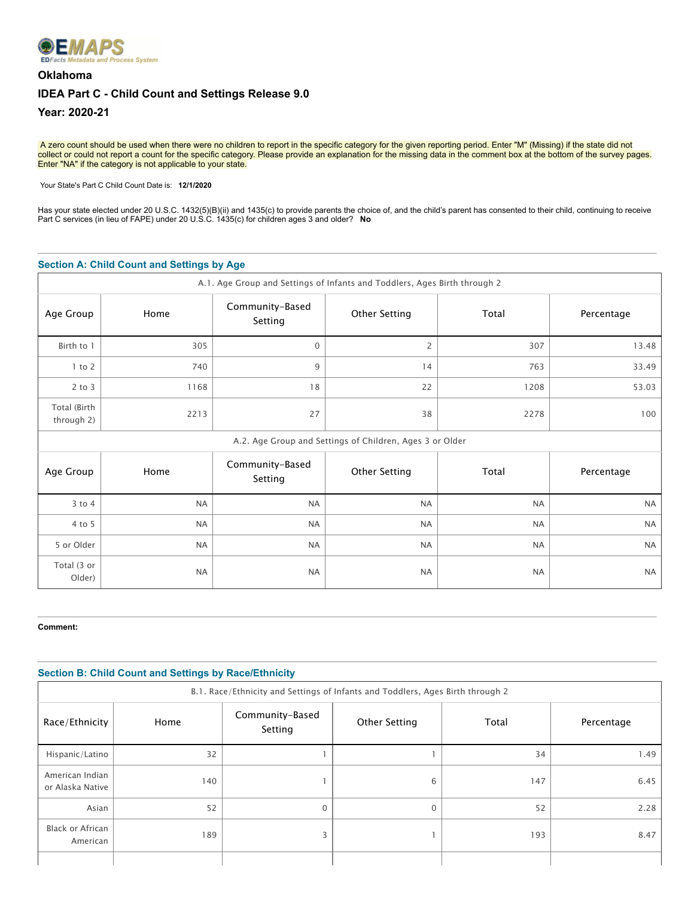

# **Oklahoma IDEA Part C - Child Count and Settings Release 9.0 Year: 2020-21**

A zero count should be used when there were no children to report in the specific category for the given reporting period. Enter "M" (Missing) if the state did not collect or could not report a count for the specific category. Please provide an explanation for the missing data in the comment box at the bottom of the survey pages. Enter "NA" if the category is not applicable to your state.

Your State's Part C Child Count Date is: **12/1/2020** 

Has your state elected under 20 U.S.C. 1432(5)(B)(ii) and 1435(c) to provide parents the choice of, and the child's parent has consented to their child, continuing to receive Part C services (in lieu of FAPE) under 20 U.S.C. 1435(c) for children ages 3 and older? **No**

# **Section A: Child Count and Settings by Age**

| A.1. Age Group and Settings of Infants and Toddlers, Ages Birth through 2 |                                                          |                            |                      |           |            |  |
|---------------------------------------------------------------------------|----------------------------------------------------------|----------------------------|----------------------|-----------|------------|--|
| Age Group                                                                 | Home                                                     | Community-Based<br>Setting | <b>Other Setting</b> | Total     | Percentage |  |
| Birth to 1                                                                | 305                                                      | $\Omega$                   | $\overline{2}$       | 307       | 13.48      |  |
| $1$ to $2$                                                                | 740                                                      | 9                          | 14                   | 763       | 33.49      |  |
| $2$ to $3$                                                                | 1168                                                     | 18                         | 22                   | 1208      | 53.03      |  |
| Total (Birth<br>through 2)                                                | 2213                                                     | 27                         | 38                   | 2278      | 100        |  |
|                                                                           | A.2. Age Group and Settings of Children, Ages 3 or Older |                            |                      |           |            |  |
| Age Group                                                                 | Home                                                     | Community-Based<br>Setting | <b>Other Setting</b> | Total     | Percentage |  |
| $3$ to $4$                                                                | <b>NA</b>                                                | <b>NA</b>                  | <b>NA</b>            | <b>NA</b> | <b>NA</b>  |  |
| 4 to 5                                                                    | <b>NA</b>                                                | <b>NA</b>                  | <b>NA</b>            | <b>NA</b> | <b>NA</b>  |  |
| 5 or Older                                                                | <b>NA</b>                                                | <b>NA</b>                  | <b>NA</b>            | <b>NA</b> | <b>NA</b>  |  |
| Total (3 or<br>Older)                                                     | <b>NA</b>                                                | <b>NA</b>                  | <b>NA</b>            | <b>NA</b> | <b>NA</b>  |  |

#### **Comment:**

| B.1. Race/Ethnicity and Settings of Infants and Toddlers, Ages Birth through 2 |      |                            |               |       |            |
|--------------------------------------------------------------------------------|------|----------------------------|---------------|-------|------------|
| Race/Ethnicity                                                                 | Home | Community-Based<br>Setting | Other Setting | Total | Percentage |
| Hispanic/Latino                                                                | 32   |                            |               | 34    | 1.49       |
| American Indian<br>or Alaska Native                                            | 140  |                            | 6             | 147   | 6.45       |
| Asian                                                                          | 52   | $\Omega$                   | $\Omega$      | 52    | 2.28       |
| Black or African<br>American                                                   | 189  | 3                          |               | 193   | 8.47       |
|                                                                                |      |                            |               |       |            |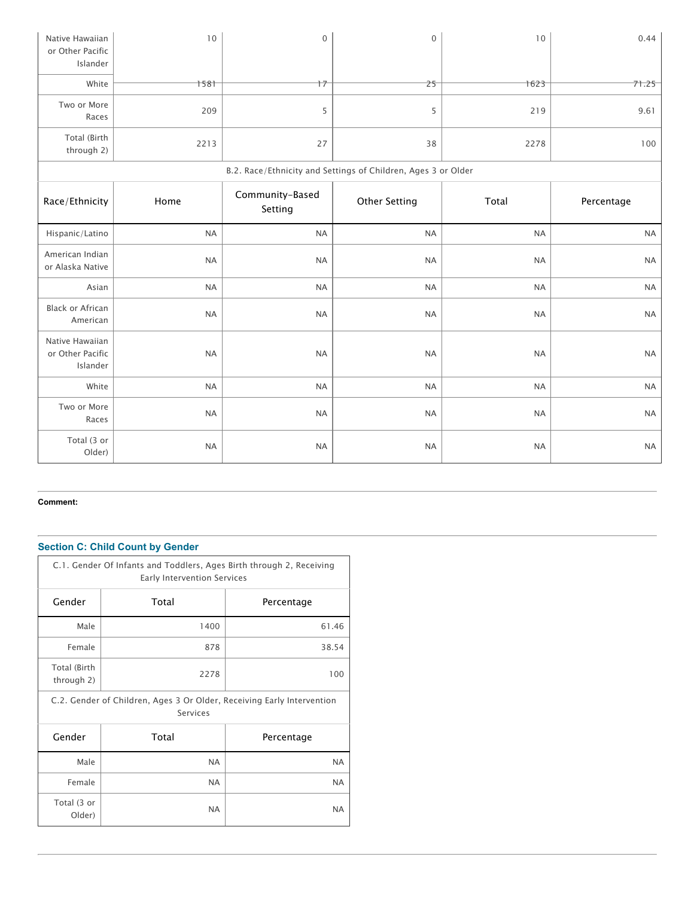| Native Hawaiian<br>or Other Pacific<br>Islander | 10        | $\mathsf{O}\xspace$        | $\mathsf{O}\xspace$                                           | 10        | 0.44       |
|-------------------------------------------------|-----------|----------------------------|---------------------------------------------------------------|-----------|------------|
| White                                           | 1581      | $+7$                       | 25                                                            | 1623      | 71.25      |
| Two or More<br>Races                            | 209       | 5                          | 5                                                             | 219       | 9.61       |
| Total (Birth<br>through 2)                      | 2213      | 27                         | 38                                                            | 2278      | 100        |
|                                                 |           |                            | B.2. Race/Ethnicity and Settings of Children, Ages 3 or Older |           |            |
| Race/Ethnicity                                  | Home      | Community-Based<br>Setting | <b>Other Setting</b>                                          | Total     | Percentage |
| Hispanic/Latino                                 | <b>NA</b> | <b>NA</b>                  | <b>NA</b>                                                     | <b>NA</b> | <b>NA</b>  |
| American Indian<br>or Alaska Native             | <b>NA</b> | <b>NA</b>                  | <b>NA</b>                                                     | <b>NA</b> | <b>NA</b>  |
| Asian                                           | <b>NA</b> | <b>NA</b>                  | <b>NA</b>                                                     | <b>NA</b> | <b>NA</b>  |
| <b>Black or African</b><br>American             | <b>NA</b> | <b>NA</b>                  | <b>NA</b>                                                     | <b>NA</b> | <b>NA</b>  |
| Native Hawaiian<br>or Other Pacific<br>Islander | <b>NA</b> | <b>NA</b>                  | <b>NA</b>                                                     | <b>NA</b> | <b>NA</b>  |
| White                                           | <b>NA</b> | <b>NA</b>                  | <b>NA</b>                                                     | <b>NA</b> | <b>NA</b>  |
| Two or More<br>Races                            | <b>NA</b> | <b>NA</b>                  | <b>NA</b>                                                     | <b>NA</b> | <b>NA</b>  |
| Total (3 or<br>Older)                           | <b>NA</b> | <b>NA</b>                  | <b>NA</b>                                                     | <b>NA</b> | <b>NA</b>  |

#### **Comment:**

# **Section C: Child Count by Gender**

| C.1. Gender Of Infants and Toddlers, Ages Birth through 2, Receiving<br>Early Intervention Services |           |            |  |  |
|-----------------------------------------------------------------------------------------------------|-----------|------------|--|--|
| Gender                                                                                              | Total     | Percentage |  |  |
| Male                                                                                                | 1400      | 61.46      |  |  |
| Female                                                                                              | 878       | 38.54      |  |  |
| Total (Birth<br>through 2)                                                                          | 2278      | 100        |  |  |
| C.2. Gender of Children, Ages 3 Or Older, Receiving Early Intervention<br>Services                  |           |            |  |  |
| Gender                                                                                              | Total     | Percentage |  |  |
| Male                                                                                                | <b>NA</b> | <b>NA</b>  |  |  |
| Female                                                                                              | <b>NA</b> | <b>NA</b>  |  |  |
| Total (3 or<br>Older)                                                                               | <b>NA</b> | <b>NA</b>  |  |  |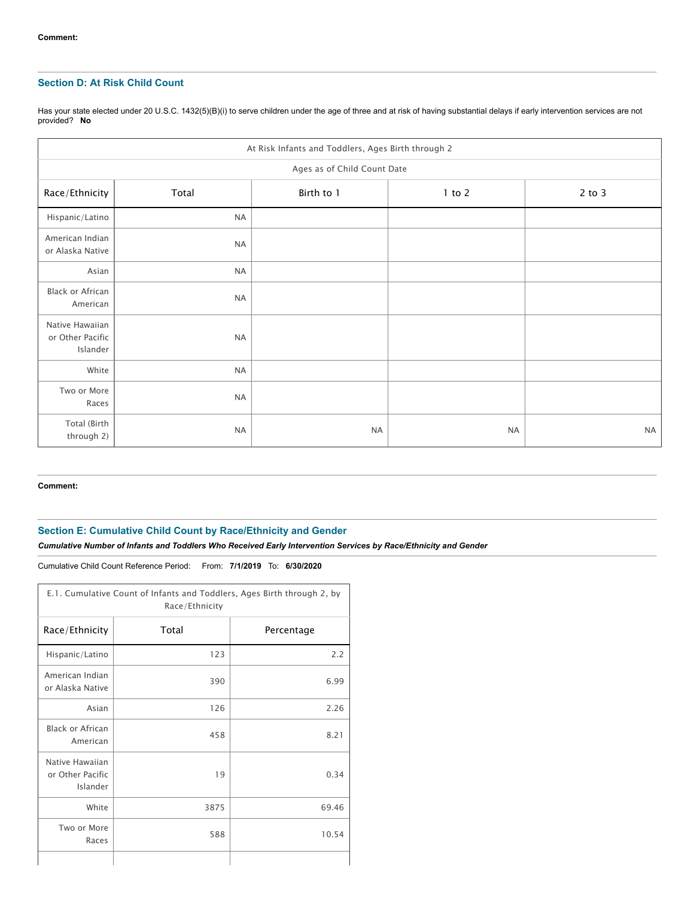## **Section D: At Risk Child Count**

Has your state elected under 20 U.S.C. 1432(5)(B)(i) to serve children under the age of three and at risk of having substantial delays if early intervention services are not provided? **No**

| At Risk Infants and Toddlers, Ages Birth through 2 |                             |            |            |            |  |
|----------------------------------------------------|-----------------------------|------------|------------|------------|--|
|                                                    | Ages as of Child Count Date |            |            |            |  |
| Race/Ethnicity                                     | Total                       | Birth to 1 | $1$ to $2$ | $2$ to $3$ |  |
| Hispanic/Latino                                    | <b>NA</b>                   |            |            |            |  |
| American Indian<br>or Alaska Native                | <b>NA</b>                   |            |            |            |  |
| Asian                                              | <b>NA</b>                   |            |            |            |  |
| Black or African<br>American                       | <b>NA</b>                   |            |            |            |  |
| Native Hawaiian<br>or Other Pacific<br>Islander    | <b>NA</b>                   |            |            |            |  |
| White                                              | <b>NA</b>                   |            |            |            |  |
| Two or More<br>Races                               | <b>NA</b>                   |            |            |            |  |
| Total (Birth<br>through 2)                         | <b>NA</b>                   | <b>NA</b>  | <b>NA</b>  | <b>NA</b>  |  |

#### **Comment:**

# **Section E: Cumulative Child Count by Race/Ethnicity and Gender**

*Cumulative Number of Infants and Toddlers Who Received Early Intervention Services by Race/Ethnicity and Gender*

Cumulative Child Count Reference Period: From: **7/1/2019** To: **6/30/2020**

| E.1. Cumulative Count of Infants and Toddlers, Ages Birth through 2, by<br>Race/Ethnicity |       |            |  |
|-------------------------------------------------------------------------------------------|-------|------------|--|
| Race/Ethnicity                                                                            | Total | Percentage |  |
| Hispanic/Latino                                                                           | 123   | 2.2        |  |
| American Indian<br>or Alaska Native                                                       | 390   | 6.99       |  |
| Asian                                                                                     | 126   | 2.26       |  |
| <b>Black or African</b><br>American                                                       | 458   | 8.21       |  |
| Native Hawaiian<br>or Other Pacific<br>Islander                                           | 19    | 0.34       |  |
| White                                                                                     | 3875  | 69.46      |  |
| Two or More<br>Races                                                                      | 588   | 10.54      |  |
|                                                                                           |       |            |  |